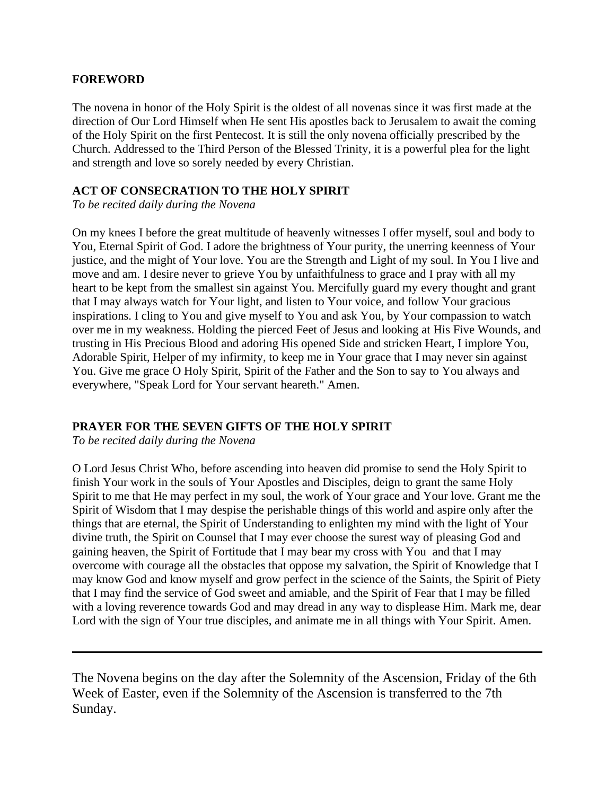#### **FOREWORD**

The novena in honor of the Holy Spirit is the oldest of all novenas since it was first made at the direction of Our Lord Himself when He sent His apostles back to Jerusalem to await the coming of the Holy Spirit on the first Pentecost. It is still the only novena officially prescribed by the Church. Addressed to the Third Person of the Blessed Trinity, it is a powerful plea for the light and strength and love so sorely needed by every Christian.

#### **ACT OF CONSECRATION TO THE HOLY SPIRIT**

*To be recited daily during the Novena*

On my knees I before the great multitude of heavenly witnesses I offer myself, soul and body to You, Eternal Spirit of God. I adore the brightness of Your purity, the unerring keenness of Your justice, and the might of Your love. You are the Strength and Light of my soul. In You I live and move and am. I desire never to grieve You by unfaithfulness to grace and I pray with all my heart to be kept from the smallest sin against You. Mercifully guard my every thought and grant that I may always watch for Your light, and listen to Your voice, and follow Your gracious inspirations. I cling to You and give myself to You and ask You, by Your compassion to watch over me in my weakness. Holding the pierced Feet of Jesus and looking at His Five Wounds, and trusting in His Precious Blood and adoring His opened Side and stricken Heart, I implore You, Adorable Spirit, Helper of my infirmity, to keep me in Your grace that I may never sin against You. Give me grace O Holy Spirit, Spirit of the Father and the Son to say to You always and everywhere, "Speak Lord for Your servant heareth." Amen.

### **PRAYER FOR THE SEVEN GIFTS OF THE HOLY SPIRIT**

*To be recited daily during the Novena*

O Lord Jesus Christ Who, before ascending into heaven did promise to send the Holy Spirit to finish Your work in the souls of Your Apostles and Disciples, deign to grant the same Holy Spirit to me that He may perfect in my soul, the work of Your grace and Your love. Grant me the Spirit of Wisdom that I may despise the perishable things of this world and aspire only after the things that are eternal, the Spirit of Understanding to enlighten my mind with the light of Your divine truth, the Spirit on Counsel that I may ever choose the surest way of pleasing God and gaining heaven, the Spirit of Fortitude that I may bear my cross with You and that I may overcome with courage all the obstacles that oppose my salvation, the Spirit of Knowledge that I may know God and know myself and grow perfect in the science of the Saints, the Spirit of Piety that I may find the service of God sweet and amiable, and the Spirit of Fear that I may be filled with a loving reverence towards God and may dread in any way to displease Him. Mark me, dear Lord with the sign of Your true disciples, and animate me in all things with Your Spirit. Amen.

The Novena begins on the day after the Solemnity of the Ascension, Friday of the 6th Week of Easter, even if the Solemnity of the Ascension is transferred to the 7th Sunday.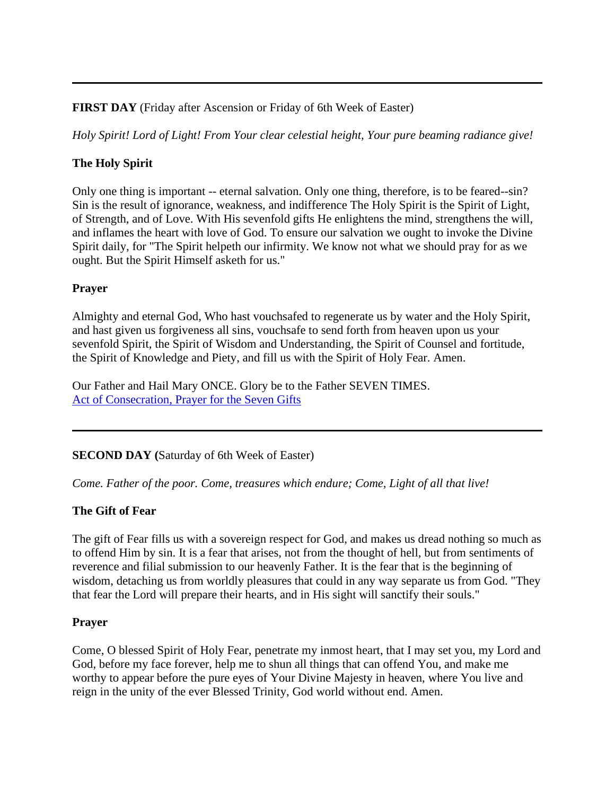**FIRST DAY** (Friday after Ascension or Friday of 6th Week of Easter)

*Holy Spirit! Lord of Light! From Your clear celestial height, Your pure beaming radiance give!*

# **The Holy Spirit**

Only one thing is important -- eternal salvation. Only one thing, therefore, is to be feared--sin? Sin is the result of ignorance, weakness, and indifference The Holy Spirit is the Spirit of Light, of Strength, and of Love. With His sevenfold gifts He enlightens the mind, strengthens the will, and inflames the heart with love of God. To ensure our salvation we ought to invoke the Divine Spirit daily, for "The Spirit helpeth our infirmity. We know not what we should pray for as we ought. But the Spirit Himself asketh for us."

## **Prayer**

Almighty and eternal God, Who hast vouchsafed to regenerate us by water and the Holy Spirit, and hast given us forgiveness all sins, vouchsafe to send forth from heaven upon us your sevenfold Spirit, the Spirit of Wisdom and Understanding, the Spirit of Counsel and fortitude, the Spirit of Knowledge and Piety, and fill us with the Spirit of Holy Fear. Amen.

Our Father and Hail Mary ONCE. Glory be to the Father SEVEN TIMES. [Act of Consecration, Prayer for the Seven Gifts](https://www.ewtn.com/legacy/devotionals/pentecost/seven.htm)

# **SECOND DAY (**Saturday of 6th Week of Easter)

*Come. Father of the poor. Come, treasures which endure; Come, Light of all that live!*

### **The Gift of Fear**

The gift of Fear fills us with a sovereign respect for God, and makes us dread nothing so much as to offend Him by sin. It is a fear that arises, not from the thought of hell, but from sentiments of reverence and filial submission to our heavenly Father. It is the fear that is the beginning of wisdom, detaching us from worldly pleasures that could in any way separate us from God. "They that fear the Lord will prepare their hearts, and in His sight will sanctify their souls."

### **Prayer**

Come, O blessed Spirit of Holy Fear, penetrate my inmost heart, that I may set you, my Lord and God, before my face forever, help me to shun all things that can offend You, and make me worthy to appear before the pure eyes of Your Divine Majesty in heaven, where You live and reign in the unity of the ever Blessed Trinity, God world without end. Amen.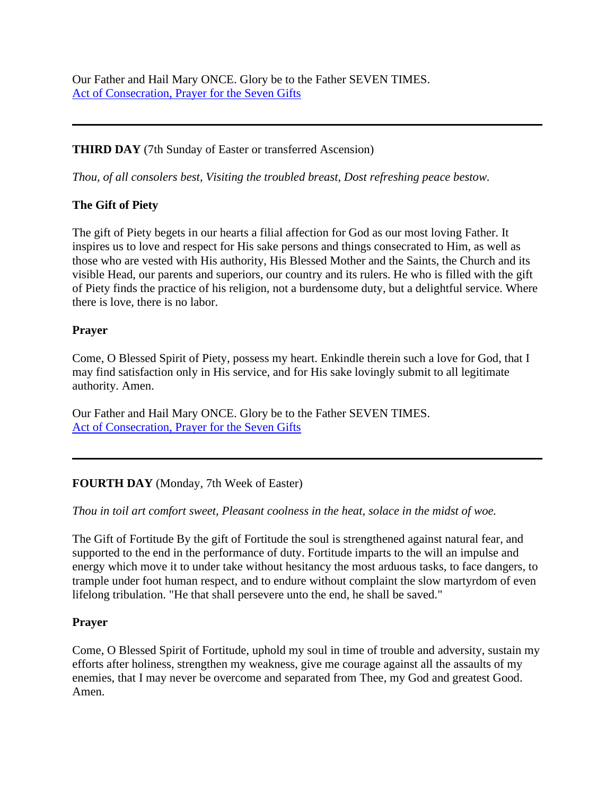Our Father and Hail Mary ONCE. Glory be to the Father SEVEN TIMES. [Act of Consecration, Prayer for the Seven Gifts](https://www.ewtn.com/legacy/devotionals/pentecost/seven.htm)

### **THIRD DAY** (7th Sunday of Easter or transferred Ascension)

*Thou, of all consolers best, Visiting the troubled breast, Dost refreshing peace bestow.*

### **The Gift of Piety**

The gift of Piety begets in our hearts a filial affection for God as our most loving Father. It inspires us to love and respect for His sake persons and things consecrated to Him, as well as those who are vested with His authority, His Blessed Mother and the Saints, the Church and its visible Head, our parents and superiors, our country and its rulers. He who is filled with the gift of Piety finds the practice of his religion, not a burdensome duty, but a delightful service. Where there is love, there is no labor.

### **Prayer**

Come, O Blessed Spirit of Piety, possess my heart. Enkindle therein such a love for God, that I may find satisfaction only in His service, and for His sake lovingly submit to all legitimate authority. Amen.

Our Father and Hail Mary ONCE. Glory be to the Father SEVEN TIMES. [Act of Consecration, Prayer for the Seven Gifts](https://www.ewtn.com/legacy/devotionals/pentecost/seven.htm)

# **FOURTH DAY** (Monday, 7th Week of Easter)

### *Thou in toil art comfort sweet, Pleasant coolness in the heat, solace in the midst of woe.*

The Gift of Fortitude By the gift of Fortitude the soul is strengthened against natural fear, and supported to the end in the performance of duty. Fortitude imparts to the will an impulse and energy which move it to under take without hesitancy the most arduous tasks, to face dangers, to trample under foot human respect, and to endure without complaint the slow martyrdom of even lifelong tribulation. "He that shall persevere unto the end, he shall be saved."

### **Prayer**

Come, O Blessed Spirit of Fortitude, uphold my soul in time of trouble and adversity, sustain my efforts after holiness, strengthen my weakness, give me courage against all the assaults of my enemies, that I may never be overcome and separated from Thee, my God and greatest Good. Amen.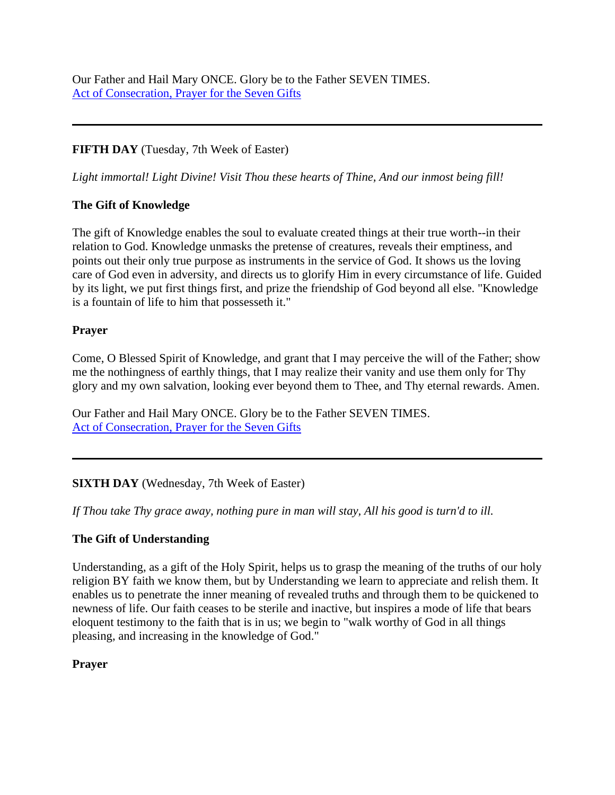# **FIFTH DAY** (Tuesday, 7th Week of Easter)

*Light immortal! Light Divine! Visit Thou these hearts of Thine, And our inmost being fill!*

## **The Gift of Knowledge**

The gift of Knowledge enables the soul to evaluate created things at their true worth--in their relation to God. Knowledge unmasks the pretense of creatures, reveals their emptiness, and points out their only true purpose as instruments in the service of God. It shows us the loving care of God even in adversity, and directs us to glorify Him in every circumstance of life. Guided by its light, we put first things first, and prize the friendship of God beyond all else. "Knowledge is a fountain of life to him that possesseth it."

### **Prayer**

Come, O Blessed Spirit of Knowledge, and grant that I may perceive the will of the Father; show me the nothingness of earthly things, that I may realize their vanity and use them only for Thy glory and my own salvation, looking ever beyond them to Thee, and Thy eternal rewards. Amen.

Our Father and Hail Mary ONCE. Glory be to the Father SEVEN TIMES. [Act of Consecration, Prayer for the Seven Gifts](https://www.ewtn.com/legacy/devotionals/pentecost/seven.htm)

# **SIXTH DAY** (Wednesday, 7th Week of Easter)

*If Thou take Thy grace away, nothing pure in man will stay, All his good is turn'd to ill.*

# **The Gift of Understanding**

Understanding, as a gift of the Holy Spirit, helps us to grasp the meaning of the truths of our holy religion BY faith we know them, but by Understanding we learn to appreciate and relish them. It enables us to penetrate the inner meaning of revealed truths and through them to be quickened to newness of life. Our faith ceases to be sterile and inactive, but inspires a mode of life that bears eloquent testimony to the faith that is in us; we begin to "walk worthy of God in all things pleasing, and increasing in the knowledge of God."

### **Prayer**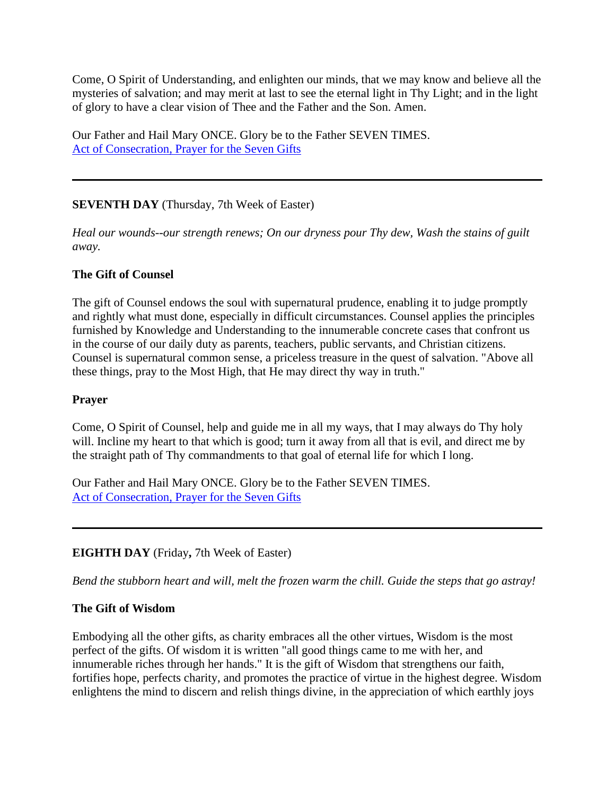Come, O Spirit of Understanding, and enlighten our minds, that we may know and believe all the mysteries of salvation; and may merit at last to see the eternal light in Thy Light; and in the light of glory to have a clear vision of Thee and the Father and the Son. Amen.

Our Father and Hail Mary ONCE. Glory be to the Father SEVEN TIMES. [Act of Consecration, Prayer for the Seven Gifts](https://www.ewtn.com/legacy/devotionals/pentecost/seven.htm)

# **SEVENTH DAY** (Thursday, 7th Week of Easter)

*Heal our wounds--our strength renews; On our dryness pour Thy dew, Wash the stains of guilt away.*

## **The Gift of Counsel**

The gift of Counsel endows the soul with supernatural prudence, enabling it to judge promptly and rightly what must done, especially in difficult circumstances. Counsel applies the principles furnished by Knowledge and Understanding to the innumerable concrete cases that confront us in the course of our daily duty as parents, teachers, public servants, and Christian citizens. Counsel is supernatural common sense, a priceless treasure in the quest of salvation. "Above all these things, pray to the Most High, that He may direct thy way in truth."

### **Prayer**

Come, O Spirit of Counsel, help and guide me in all my ways, that I may always do Thy holy will. Incline my heart to that which is good; turn it away from all that is evil, and direct me by the straight path of Thy commandments to that goal of eternal life for which I long.

Our Father and Hail Mary ONCE. Glory be to the Father SEVEN TIMES. [Act of Consecration, Prayer for the Seven Gifts](https://www.ewtn.com/legacy/devotionals/pentecost/seven.htm)

# **EIGHTH DAY** (Friday**,** 7th Week of Easter)

*Bend the stubborn heart and will, melt the frozen warm the chill. Guide the steps that go astray!*

# **The Gift of Wisdom**

Embodying all the other gifts, as charity embraces all the other virtues, Wisdom is the most perfect of the gifts. Of wisdom it is written "all good things came to me with her, and innumerable riches through her hands." It is the gift of Wisdom that strengthens our faith, fortifies hope, perfects charity, and promotes the practice of virtue in the highest degree. Wisdom enlightens the mind to discern and relish things divine, in the appreciation of which earthly joys